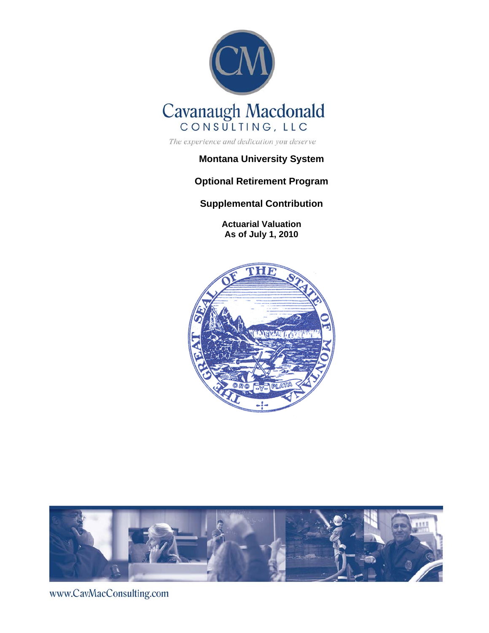

The experience and dedication you deserve

## **Montana University System**

# **Optional Retirement Program**

**Supplemental Contribution** 

**Actuarial Valuation As of July 1, 2010** 





www.CavMacConsulting.com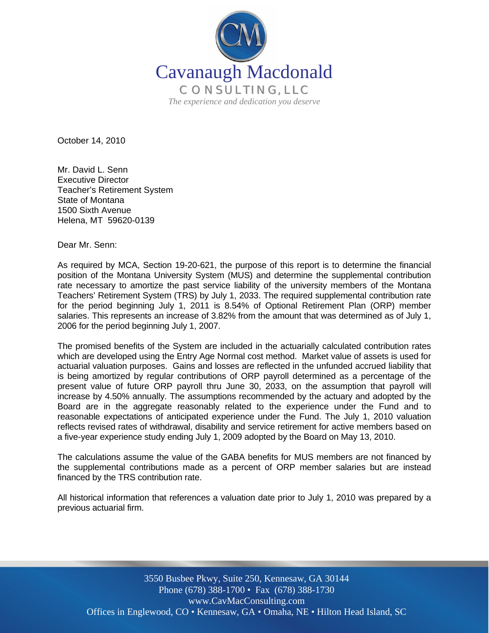

October 14, 2010

Mr. David L. Senn Executive Director Teacher's Retirement System State of Montana 1500 Sixth Avenue Helena, MT 59620-0139

Dear Mr. Senn:

As required by MCA, Section 19-20-621, the purpose of this report is to determine the financial position of the Montana University System (MUS) and determine the supplemental contribution rate necessary to amortize the past service liability of the university members of the Montana Teachers' Retirement System (TRS) by July 1, 2033. The required supplemental contribution rate for the period beginning July 1, 2011 is 8.54% of Optional Retirement Plan (ORP) member salaries. This represents an increase of 3.82% from the amount that was determined as of July 1, 2006 for the period beginning July 1, 2007.

The promised benefits of the System are included in the actuarially calculated contribution rates which are developed using the Entry Age Normal cost method. Market value of assets is used for actuarial valuation purposes. Gains and losses are reflected in the unfunded accrued liability that is being amortized by regular contributions of ORP payroll determined as a percentage of the present value of future ORP payroll thru June 30, 2033, on the assumption that payroll will increase by 4.50% annually. The assumptions recommended by the actuary and adopted by the Board are in the aggregate reasonably related to the experience under the Fund and to reasonable expectations of anticipated experience under the Fund. The July 1, 2010 valuation reflects revised rates of withdrawal, disability and service retirement for active members based on a five-year experience study ending July 1, 2009 adopted by the Board on May 13, 2010.

The calculations assume the value of the GABA benefits for MUS members are not financed by the supplemental contributions made as a percent of ORP member salaries but are instead financed by the TRS contribution rate.

All historical information that references a valuation date prior to July 1, 2010 was prepared by a previous actuarial firm.

www.CavMacConsulting.com 3550 Busbee Pkwy, Suite 250, Kennesaw, GA 30144 Phone (678) 388-1700 • Fax (678) 388-1730 Offices in Englewood, CO • Kennesaw, GA • Omaha, NE • Hilton Head Island, SC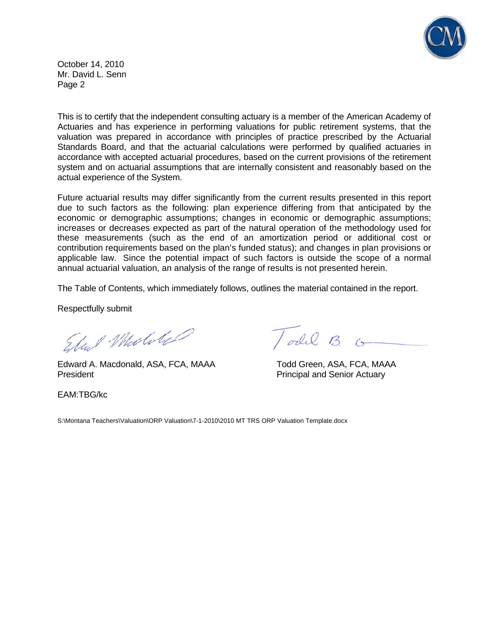

October 14, 2010 Mr. David L. Senn Page 2

This is to certify that the independent consulting actuary is a member of the American Academy of Actuaries and has experience in performing valuations for public retirement systems, that the valuation was prepared in accordance with principles of practice prescribed by the Actuarial Standards Board, and that the actuarial calculations were performed by qualified actuaries in accordance with accepted actuarial procedures, based on the current provisions of the retirement system and on actuarial assumptions that are internally consistent and reasonably based on the actual experience of the System.

Future actuarial results may differ significantly from the current results presented in this report due to such factors as the following: plan experience differing from that anticipated by the economic or demographic assumptions; changes in economic or demographic assumptions; increases or decreases expected as part of the natural operation of the methodology used for these measurements (such as the end of an amortization period or additional cost or contribution requirements based on the plan's funded status); and changes in plan provisions or applicable law. Since the potential impact of such factors is outside the scope of a normal annual actuarial valuation, an analysis of the range of results is not presented herein.

The Table of Contents, which immediately follows, outlines the material contained in the report.

Respectfully submit

Elect Mulike

 Edward A. Macdonald, ASA, FCA, MAAA Todd Green, ASA, FCA, MAAA President **President** Principal and Senior Actuary

EAM:TBG/kc

Todil B. G

S:\Montana Teachers\Valuation\ORP Valuation\7-1-2010\2010 MT TRS ORP Valuation Template.docx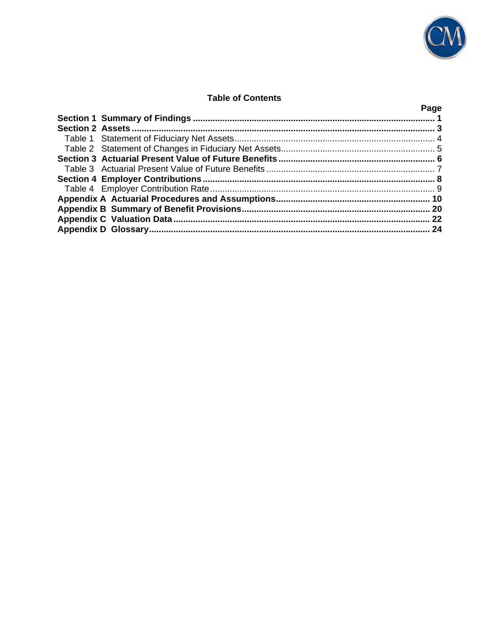

## **Table of Contents**

|  | Page |
|--|------|
|  |      |
|  |      |
|  |      |
|  |      |
|  |      |
|  |      |
|  |      |
|  |      |
|  |      |
|  |      |
|  |      |
|  |      |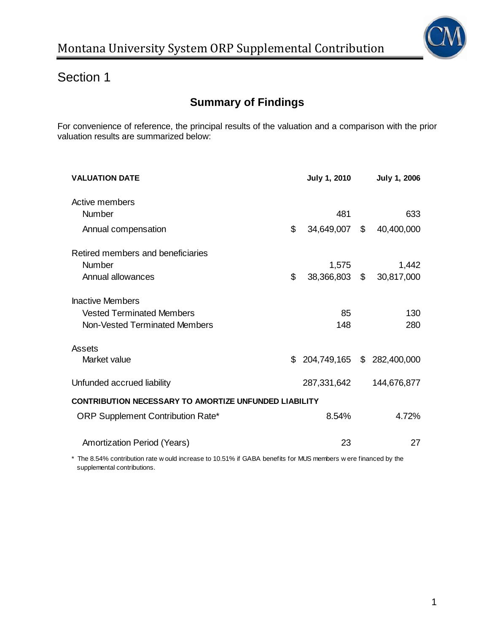

# **Summary of Findings**

For convenience of reference, the principal results of the valuation and a comparison with the prior valuation results are summarized below:

| <b>VALUATION DATE</b>                                                           |    | <b>July 1, 2010</b> |  | <b>July 1, 2006</b> |
|---------------------------------------------------------------------------------|----|---------------------|--|---------------------|
| Active members                                                                  |    |                     |  |                     |
| Number                                                                          |    | 481                 |  | 633                 |
| Annual compensation                                                             | \$ | 34,649,007 \$       |  | 40,400,000          |
| Retired members and beneficiaries                                               |    |                     |  |                     |
| Number                                                                          |    | 1,575               |  | 1,442               |
| Annual allowances                                                               | \$ | 38,366,803 \$       |  | 30,817,000          |
| <b>Inactive Members</b>                                                         |    |                     |  |                     |
| <b>Vested Terminated Members</b>                                                |    | 85                  |  | 130                 |
| Non-Vested Terminated Members                                                   |    | 148                 |  | 280                 |
| Assets                                                                          |    |                     |  |                     |
| Market value                                                                    | \$ | 204,749,165         |  | \$282,400,000       |
| Unfunded accrued liability                                                      |    | 287,331,642         |  | 144,676,877         |
| <b>CONTRIBUTION NECESSARY TO AMORTIZE UNFUNDED LIABILITY</b>                    |    |                     |  |                     |
| <b>ORP Supplement Contribution Rate*</b>                                        |    | 8.54%               |  | 4.72%               |
| Amortization Period (Years)                                                     |    | 23                  |  | 27                  |
| the contract of the contract of the contract of the contract of the contract of |    |                     |  |                     |

supplemental contributions. The 8.54% contribution rate w ould increase to 10.51% if GABA benefits for MUS members w ere financed by the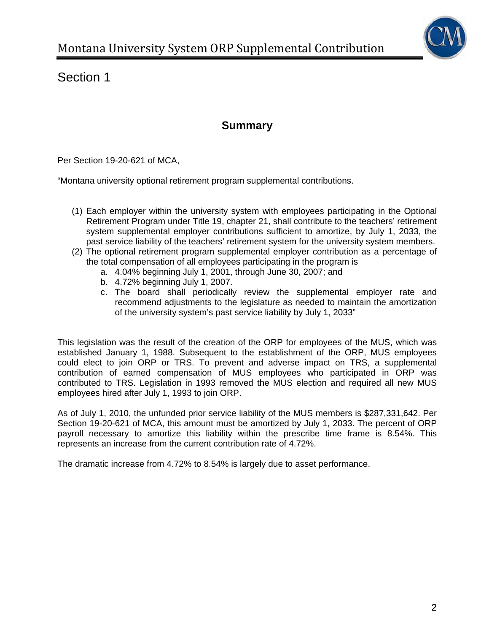

# **Summary**

Per Section 19-20-621 of MCA,

"Montana university optional retirement program supplemental contributions.

- (1) Each employer within the university system with employees participating in the Optional Retirement Program under Title 19, chapter 21, shall contribute to the teachers' retirement system supplemental employer contributions sufficient to amortize, by July 1, 2033, the past service liability of the teachers' retirement system for the university system members.
- (2) The optional retirement program supplemental employer contribution as a percentage of the total compensation of all employees participating in the program is
	- a. 4.04% beginning July 1, 2001, through June 30, 2007; and
	- b. 4.72% beginning July 1, 2007.
	- c. The board shall periodically review the supplemental employer rate and recommend adjustments to the legislature as needed to maintain the amortization of the university system's past service liability by July 1, 2033"

This legislation was the result of the creation of the ORP for employees of the MUS, which was established January 1, 1988. Subsequent to the establishment of the ORP, MUS employees could elect to join ORP or TRS. To prevent and adverse impact on TRS, a supplemental contribution of earned compensation of MUS employees who participated in ORP was contributed to TRS. Legislation in 1993 removed the MUS election and required all new MUS employees hired after July 1, 1993 to join ORP.

As of July 1, 2010, the unfunded prior service liability of the MUS members is \$287,331,642. Per Section 19-20-621 of MCA, this amount must be amortized by July 1, 2033. The percent of ORP payroll necessary to amortize this liability within the prescribe time frame is 8.54%. This represents an increase from the current contribution rate of 4.72%.

The dramatic increase from 4.72% to 8.54% is largely due to asset performance.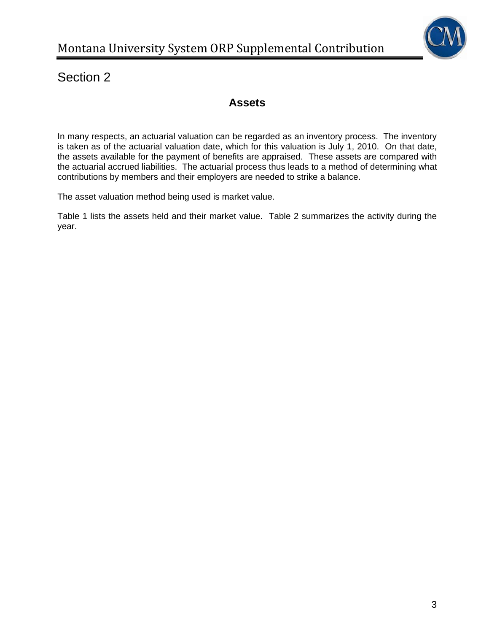

# **Assets**

In many respects, an actuarial valuation can be regarded as an inventory process. The inventory is taken as of the actuarial valuation date, which for this valuation is July 1, 2010. On that date, the assets available for the payment of benefits are appraised. These assets are compared with the actuarial accrued liabilities. The actuarial process thus leads to a method of determining what contributions by members and their employers are needed to strike a balance.

The asset valuation method being used is market value.

Table 1 lists the assets held and their market value. Table 2 summarizes the activity during the year.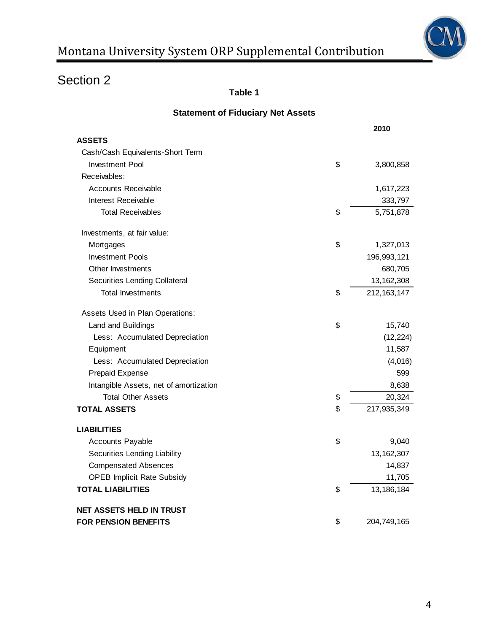

**Table 1** 

| <b>Statement of Fiduciary Net Assets</b> |  |  |
|------------------------------------------|--|--|
|------------------------------------------|--|--|

|                                        | 2010                |
|----------------------------------------|---------------------|
| <b>ASSETS</b>                          |                     |
| Cash/Cash Equivalents-Short Term       |                     |
| <b>Investment Pool</b>                 | \$<br>3,800,858     |
| Receivables:                           |                     |
| <b>Accounts Receivable</b>             | 1,617,223           |
| Interest Receivable                    | 333,797             |
| <b>Total Receivables</b>               | \$<br>5,751,878     |
| Investments, at fair value:            |                     |
| Mortgages                              | \$<br>1,327,013     |
| <b>Investment Pools</b>                | 196,993,121         |
| Other Investments                      | 680,705             |
| Securities Lending Collateral          | 13, 162, 308        |
| <b>Total Investments</b>               | \$<br>212, 163, 147 |
| Assets Used in Plan Operations:        |                     |
| Land and Buildings                     | \$<br>15,740        |
| Less: Accumulated Depreciation         | (12, 224)           |
| Equipment                              | 11,587              |
| Less: Accumulated Depreciation         | (4,016)             |
| Prepaid Expense                        | 599                 |
| Intangible Assets, net of amortization | 8,638               |
| <b>Total Other Assets</b>              | \$<br>20,324        |
| <b>TOTAL ASSETS</b>                    | \$<br>217,935,349   |
| <b>LIABILITIES</b>                     |                     |
| Accounts Payable                       | \$<br>9,040         |
| Securities Lending Liability           | 13, 162, 307        |
| <b>Compensated Absences</b>            | 14,837              |
| <b>OPEB Implicit Rate Subsidy</b>      | 11,705              |
| <b>TOTAL LIABILITIES</b>               | \$<br>13, 186, 184  |
| <b>NET ASSETS HELD IN TRUST</b>        |                     |
| <b>FOR PENSION BENEFITS</b>            | \$<br>204,749,165   |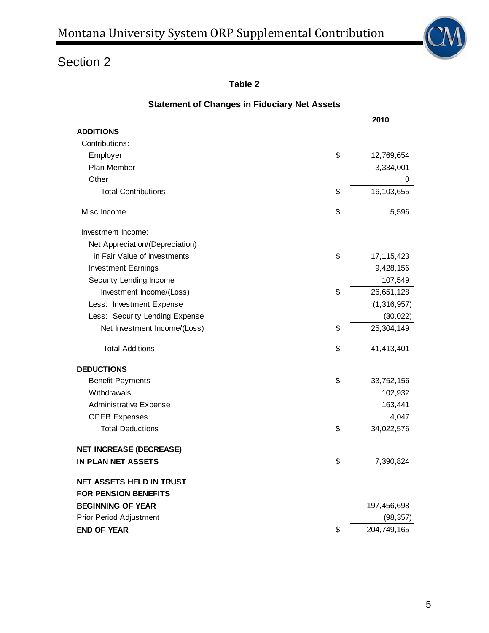

**Table 2** 

| <b>Statement of Changes in Fiduciary Net Assets</b> |                    |
|-----------------------------------------------------|--------------------|
|                                                     | 2010               |
| <b>ADDITIONS</b>                                    |                    |
| Contributions:                                      |                    |
| Employer                                            | \$<br>12,769,654   |
| Plan Member                                         | 3,334,001          |
| Other                                               | 0                  |
| <b>Total Contributions</b>                          | \$<br>16,103,655   |
| Misc Income                                         | \$<br>5,596        |
| Investment Income:                                  |                    |
| Net Appreciation/(Depreciation)                     |                    |
| in Fair Value of Investments                        | \$<br>17, 115, 423 |
| <b>Investment Earnings</b>                          | 9,428,156          |
| Security Lending Income                             | 107,549            |
| Investment Income/(Loss)                            | \$<br>26,651,128   |
| Less: Investment Expense                            | (1,316,957)        |
| Less: Security Lending Expense                      | (30, 022)          |
| Net Investment Income/(Loss)                        | \$<br>25,304,149   |
| <b>Total Additions</b>                              | \$<br>41,413,401   |
| <b>DEDUCTIONS</b>                                   |                    |
| <b>Benefit Payments</b>                             | \$<br>33,752,156   |
| Withdrawals                                         | 102,932            |
| <b>Administrative Expense</b>                       | 163,441            |
| <b>OPEB Expenses</b>                                | 4,047              |
| <b>Total Deductions</b>                             | \$<br>34,022,576   |
| <b>NET INCREASE (DECREASE)</b>                      |                    |
| IN PLAN NET ASSETS                                  | \$<br>7,390,824    |
| <b>NET ASSETS HELD IN TRUST</b>                     |                    |
| <b>FOR PENSION BENEFITS</b>                         |                    |
| <b>BEGINNING OF YEAR</b>                            | 197,456,698        |
| <b>Prior Period Adjustment</b>                      | (98, 357)          |
| <b>END OF YEAR</b>                                  | \$<br>204,749,165  |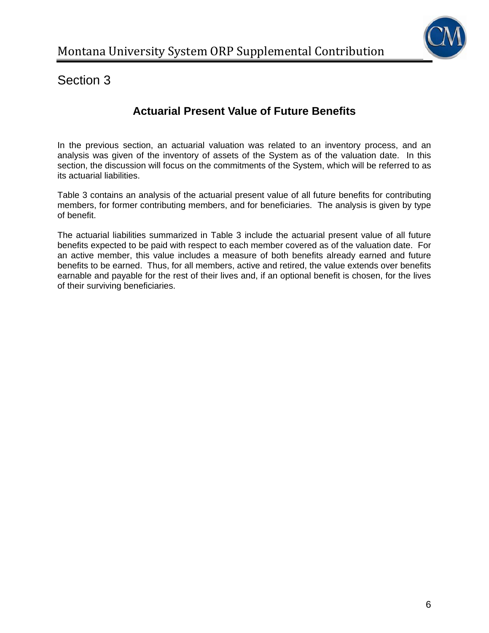

# **Actuarial Present Value of Future Benefits**

In the previous section, an actuarial valuation was related to an inventory process, and an analysis was given of the inventory of assets of the System as of the valuation date. In this section, the discussion will focus on the commitments of the System, which will be referred to as its actuarial liabilities.

Table 3 contains an analysis of the actuarial present value of all future benefits for contributing members, for former contributing members, and for beneficiaries. The analysis is given by type of benefit.

The actuarial liabilities summarized in Table 3 include the actuarial present value of all future benefits expected to be paid with respect to each member covered as of the valuation date. For an active member, this value includes a measure of both benefits already earned and future benefits to be earned. Thus, for all members, active and retired, the value extends over benefits earnable and payable for the rest of their lives and, if an optional benefit is chosen, for the lives of their surviving beneficiaries.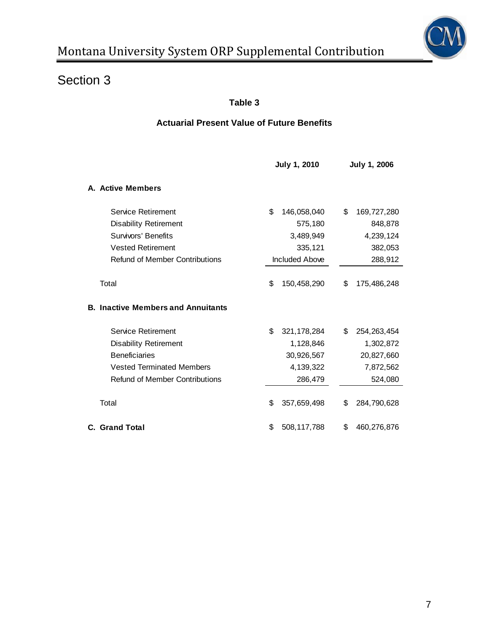

## **Table 3**

## **Actuarial Present Value of Future Benefits**

|                                           | <b>July 1, 2010</b>   |    | July 1, 2006  |
|-------------------------------------------|-----------------------|----|---------------|
| A. Active Members                         |                       |    |               |
| Service Retirement                        | \$<br>146,058,040     | \$ | 169,727,280   |
| <b>Disability Retirement</b>              | 575,180               |    | 848,878       |
| Survivors' Benefits                       | 3,489,949             |    | 4,239,124     |
| <b>Vested Retirement</b>                  | 335,121               |    | 382,053       |
| <b>Refund of Member Contributions</b>     | <b>Included Above</b> |    | 288,912       |
| Total                                     | \$<br>150,458,290     | \$ | 175,486,248   |
| <b>B. Inactive Members and Annuitants</b> |                       |    |               |
| Service Retirement                        | \$<br>321, 178, 284   | \$ | 254, 263, 454 |
| <b>Disability Retirement</b>              | 1,128,846             |    | 1,302,872     |
| <b>Beneficiaries</b>                      | 30,926,567            |    | 20,827,660    |
| <b>Vested Terminated Members</b>          | 4, 139, 322           |    | 7,872,562     |
| <b>Refund of Member Contributions</b>     | 286,479               |    | 524,080       |
| Total                                     | \$<br>357,659,498     | \$ | 284,790,628   |
| <b>C. Grand Total</b>                     | \$<br>508,117,788     | \$ | 460,276,876   |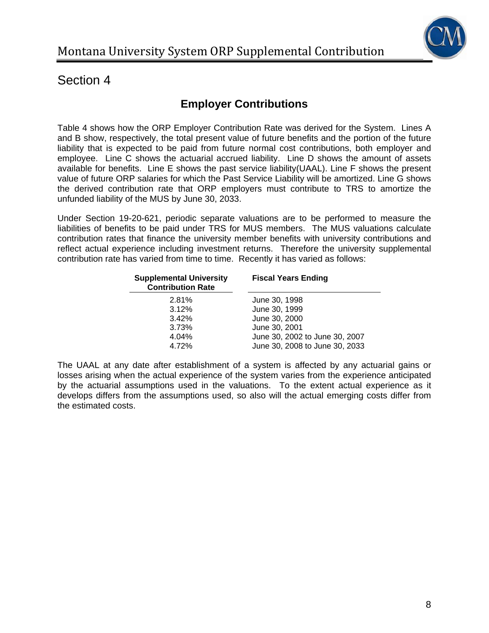

# **Employer Contributions**

Table 4 shows how the ORP Employer Contribution Rate was derived for the System. Lines A and B show, respectively, the total present value of future benefits and the portion of the future liability that is expected to be paid from future normal cost contributions, both employer and employee. Line C shows the actuarial accrued liability. Line D shows the amount of assets available for benefits. Line E shows the past service liability(UAAL). Line F shows the present value of future ORP salaries for which the Past Service Liability will be amortized. Line G shows the derived contribution rate that ORP employers must contribute to TRS to amortize the unfunded liability of the MUS by June 30, 2033.

Under Section 19-20-621, periodic separate valuations are to be performed to measure the liabilities of benefits to be paid under TRS for MUS members. The MUS valuations calculate contribution rates that finance the university member benefits with university contributions and reflect actual experience including investment returns. Therefore the university supplemental contribution rate has varied from time to time. Recently it has varied as follows:

| <b>Supplemental University</b><br><b>Contribution Rate</b> | <b>Fiscal Years Ending</b>     |
|------------------------------------------------------------|--------------------------------|
| 2.81%                                                      | June 30, 1998                  |
| 3.12%                                                      | June 30, 1999                  |
| 3.42%                                                      | June 30, 2000                  |
| 3.73%                                                      | June 30, 2001                  |
| 4.04%                                                      | June 30, 2002 to June 30, 2007 |
| 4.72%                                                      | June 30, 2008 to June 30, 2033 |

The UAAL at any date after establishment of a system is affected by any actuarial gains or losses arising when the actual experience of the system varies from the experience anticipated by the actuarial assumptions used in the valuations. To the extent actual experience as it develops differs from the assumptions used, so also will the actual emerging costs differ from the estimated costs.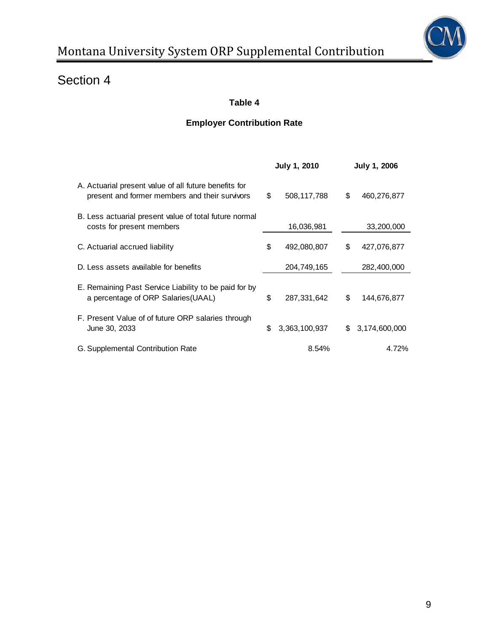

# **Table 4**

## **Employer Contribution Rate**

|                                                                                                         | <b>July 1, 2010</b> |     | <b>July 1, 2006</b> |
|---------------------------------------------------------------------------------------------------------|---------------------|-----|---------------------|
| A. Actuarial present value of all future benefits for<br>present and former members and their survivors | \$<br>508,117,788   | \$  | 460,276,877         |
| B. Less actuarial present value of total future normal<br>costs for present members                     | 16,036,981          |     | 33,200,000          |
| C. Actuarial accrued liability                                                                          | \$<br>492,080,807   | \$  | 427,076,877         |
| D. Less assets available for benefits                                                                   | 204,749,165         |     | 282,400,000         |
| E. Remaining Past Service Liability to be paid for by<br>a percentage of ORP Salaries (UAAL)            | \$<br>287,331,642   | \$  | 144,676,877         |
| F. Present Value of of future ORP salaries through<br>June 30, 2033                                     | \$<br>3,363,100,937 | \$. | 3,174,600,000       |
| G. Supplemental Contribution Rate                                                                       | 8.54%               |     | 4.72%               |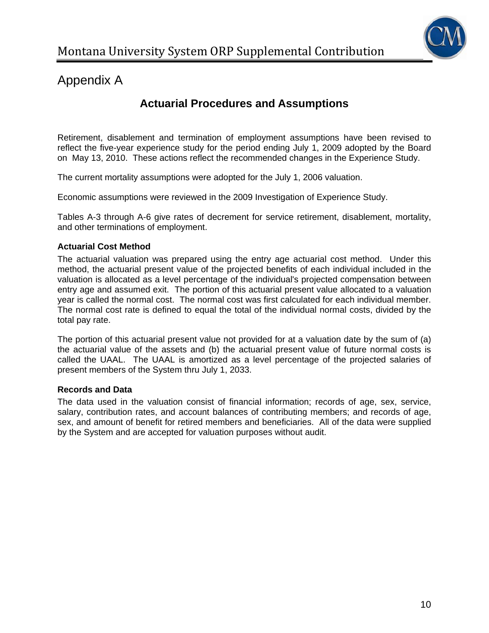

# **Actuarial Procedures and Assumptions**

Retirement, disablement and termination of employment assumptions have been revised to reflect the five-year experience study for the period ending July 1, 2009 adopted by the Board on May 13, 2010. These actions reflect the recommended changes in the Experience Study.

The current mortality assumptions were adopted for the July 1, 2006 valuation.

Economic assumptions were reviewed in the 2009 Investigation of Experience Study.

Tables A-3 through A-6 give rates of decrement for service retirement, disablement, mortality, and other terminations of employment.

#### **Actuarial Cost Method**

The actuarial valuation was prepared using the entry age actuarial cost method. Under this method, the actuarial present value of the projected benefits of each individual included in the valuation is allocated as a level percentage of the individual's projected compensation between entry age and assumed exit. The portion of this actuarial present value allocated to a valuation year is called the normal cost. The normal cost was first calculated for each individual member. The normal cost rate is defined to equal the total of the individual normal costs, divided by the total pay rate.

The portion of this actuarial present value not provided for at a valuation date by the sum of (a) the actuarial value of the assets and (b) the actuarial present value of future normal costs is called the UAAL. The UAAL is amortized as a level percentage of the projected salaries of present members of the System thru July 1, 2033.

#### **Records and Data**

The data used in the valuation consist of financial information; records of age, sex, service, salary, contribution rates, and account balances of contributing members; and records of age, sex, and amount of benefit for retired members and beneficiaries. All of the data were supplied by the System and are accepted for valuation purposes without audit.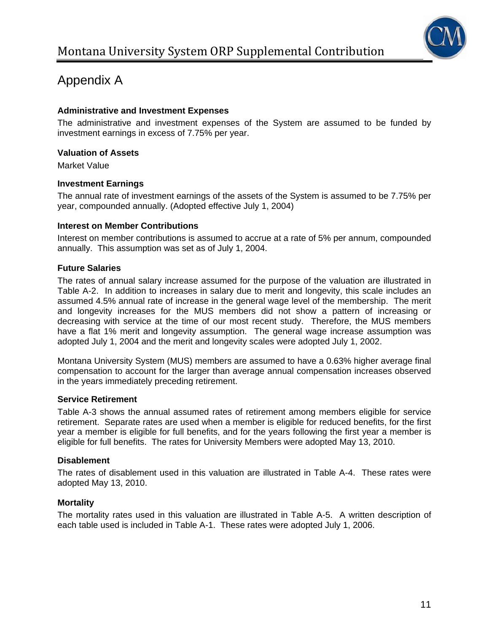

### **Administrative and Investment Expenses**

The administrative and investment expenses of the System are assumed to be funded by investment earnings in excess of 7.75% per year.

#### **Valuation of Assets**

Market Value

#### **Investment Earnings**

The annual rate of investment earnings of the assets of the System is assumed to be 7.75% per year, compounded annually. (Adopted effective July 1, 2004)

#### **Interest on Member Contributions**

Interest on member contributions is assumed to accrue at a rate of 5% per annum, compounded annually. This assumption was set as of July 1, 2004.

#### **Future Salaries**

The rates of annual salary increase assumed for the purpose of the valuation are illustrated in Table A-2. In addition to increases in salary due to merit and longevity, this scale includes an assumed 4.5% annual rate of increase in the general wage level of the membership. The merit and longevity increases for the MUS members did not show a pattern of increasing or decreasing with service at the time of our most recent study. Therefore, the MUS members have a flat 1% merit and longevity assumption. The general wage increase assumption was adopted July 1, 2004 and the merit and longevity scales were adopted July 1, 2002.

Montana University System (MUS) members are assumed to have a 0.63% higher average final compensation to account for the larger than average annual compensation increases observed in the years immediately preceding retirement.

#### **Service Retirement**

Table A-3 shows the annual assumed rates of retirement among members eligible for service retirement. Separate rates are used when a member is eligible for reduced benefits, for the first year a member is eligible for full benefits, and for the years following the first year a member is eligible for full benefits. The rates for University Members were adopted May 13, 2010.

#### **Disablement**

The rates of disablement used in this valuation are illustrated in Table A-4. These rates were adopted May 13, 2010.

## **Mortality**

The mortality rates used in this valuation are illustrated in Table A-5. A written description of each table used is included in Table A-1. These rates were adopted July 1, 2006.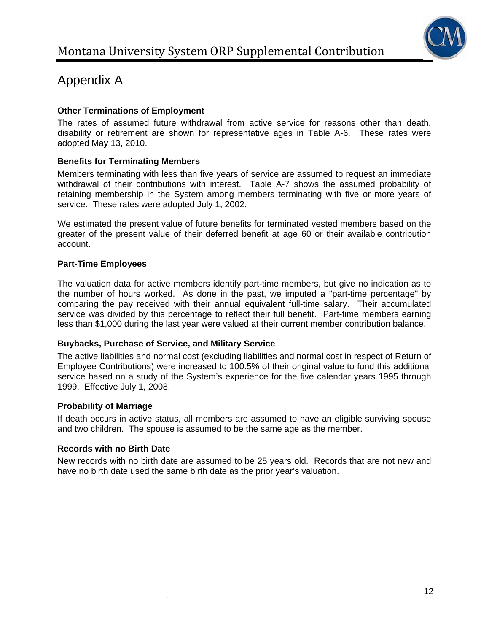

## **Other Terminations of Employment**

The rates of assumed future withdrawal from active service for reasons other than death, disability or retirement are shown for representative ages in Table A-6. These rates were adopted May 13, 2010.

## **Benefits for Terminating Members**

Members terminating with less than five years of service are assumed to request an immediate withdrawal of their contributions with interest. Table A-7 shows the assumed probability of retaining membership in the System among members terminating with five or more years of service. These rates were adopted July 1, 2002.

We estimated the present value of future benefits for terminated vested members based on the greater of the present value of their deferred benefit at age 60 or their available contribution account.

## **Part-Time Employees**

The valuation data for active members identify part-time members, but give no indication as to the number of hours worked. As done in the past, we imputed a "part-time percentage" by comparing the pay received with their annual equivalent full-time salary. Their accumulated service was divided by this percentage to reflect their full benefit. Part-time members earning less than \$1,000 during the last year were valued at their current member contribution balance.

## **Buybacks, Purchase of Service, and Military Service**

The active liabilities and normal cost (excluding liabilities and normal cost in respect of Return of Employee Contributions) were increased to 100.5% of their original value to fund this additional service based on a study of the System's experience for the five calendar years 1995 through 1999. Effective July 1, 2008.

## **Probability of Marriage**

If death occurs in active status, all members are assumed to have an eligible surviving spouse and two children. The spouse is assumed to be the same age as the member.

## **Records with no Birth Date**

New records with no birth date are assumed to be 25 years old. Records that are not new and have no birth date used the same birth date as the prior year's valuation.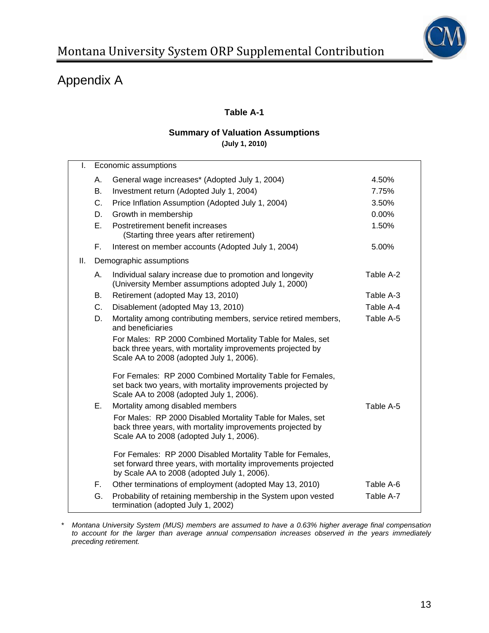

## **Table A-1**

#### **Summary of Valuation Assumptions (July 1, 2010)**

| I.  |    | Economic assumptions                                                                                                                                                        |           |
|-----|----|-----------------------------------------------------------------------------------------------------------------------------------------------------------------------------|-----------|
|     | А. | General wage increases* (Adopted July 1, 2004)                                                                                                                              | 4.50%     |
|     | Β. | Investment return (Adopted July 1, 2004)                                                                                                                                    | 7.75%     |
|     | C. | Price Inflation Assumption (Adopted July 1, 2004)                                                                                                                           | 3.50%     |
|     | D. | Growth in membership                                                                                                                                                        | 0.00%     |
|     | Ε. | Postretirement benefit increases<br>(Starting three years after retirement)                                                                                                 | 1.50%     |
|     | F. | Interest on member accounts (Adopted July 1, 2004)                                                                                                                          | 5.00%     |
| ΙΙ. |    | Demographic assumptions                                                                                                                                                     |           |
|     | А. | Individual salary increase due to promotion and longevity<br>(University Member assumptions adopted July 1, 2000)                                                           | Table A-2 |
|     | В. | Retirement (adopted May 13, 2010)                                                                                                                                           | Table A-3 |
|     | C. | Disablement (adopted May 13, 2010)                                                                                                                                          | Table A-4 |
|     | D. | Mortality among contributing members, service retired members,<br>and beneficiaries                                                                                         | Table A-5 |
|     |    | For Males: RP 2000 Combined Mortality Table for Males, set<br>back three years, with mortality improvements projected by<br>Scale AA to 2008 (adopted July 1, 2006).        |           |
|     |    | For Females: RP 2000 Combined Mortality Table for Females,<br>set back two years, with mortality improvements projected by<br>Scale AA to 2008 (adopted July 1, 2006).      |           |
|     | Е. | Mortality among disabled members                                                                                                                                            | Table A-5 |
|     |    | For Males: RP 2000 Disabled Mortality Table for Males, set<br>back three years, with mortality improvements projected by<br>Scale AA to 2008 (adopted July 1, 2006).        |           |
|     |    | For Females: RP 2000 Disabled Mortality Table for Females,<br>set forward three years, with mortality improvements projected<br>by Scale AA to 2008 (adopted July 1, 2006). |           |
|     | F. | Other terminations of employment (adopted May 13, 2010)                                                                                                                     | Table A-6 |
|     | G. | Probability of retaining membership in the System upon vested<br>termination (adopted July 1, 2002)                                                                         | Table A-7 |

*\* Montana University System (MUS) members are assumed to have a 0.63% higher average final compensation to account for the larger than average annual compensation increases observed in the years immediately preceding retirement.*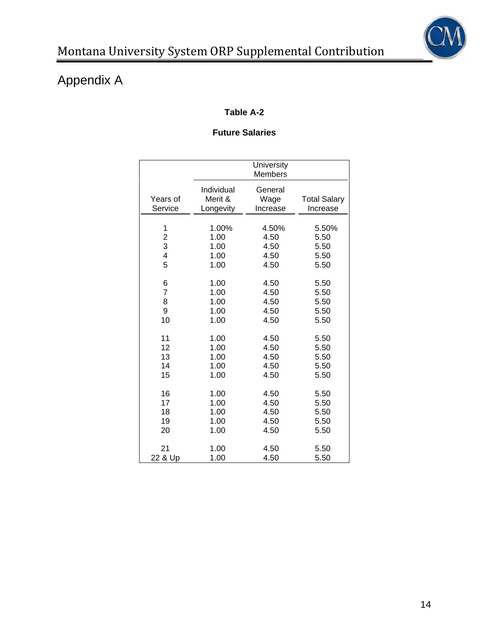

# **Table A-2**

## **Future Salaries**

|                         |                                    | University<br>Members       |                                 |
|-------------------------|------------------------------------|-----------------------------|---------------------------------|
| Years of<br>Service     | Individual<br>Merit &<br>Longevity | General<br>Wage<br>Increase | <b>Total Salary</b><br>Increase |
| 1                       | 1.00%                              | 4.50%                       | 5.50%                           |
| $\overline{\mathbf{c}}$ | 1.00                               | 4.50                        | 5.50                            |
| 3                       | 1.00                               | 4.50                        | 5.50                            |
| 4                       | 1.00                               | 4.50                        | 5.50                            |
| 5                       | 1.00                               | 4.50                        | 5.50                            |
| 6                       | 1.00                               | 4.50                        | 5.50                            |
| $\overline{7}$          | 1.00                               | 4.50                        | 5.50                            |
| 8                       | 1.00                               | 4.50                        | 5.50                            |
| 9                       | 1.00                               | 4.50                        | 5.50                            |
| 10                      | 1.00                               | 4.50                        | 5.50                            |
| 11                      | 1.00                               | 4.50                        | 5.50                            |
| 12                      | 1.00                               | 4.50                        | 5.50                            |
| 13                      | 1.00                               | 4.50                        | 5.50                            |
| 14                      | 1.00                               | 4.50                        | 5.50                            |
| 15                      | 1.00                               | 4.50                        | 5.50                            |
| 16                      | 1.00                               | 4.50                        | 5.50                            |
| 17                      | 1.00                               | 4.50                        | 5.50                            |
| 18                      | 1.00                               | 4.50                        | 5.50                            |
| 19                      | 1.00                               | 4.50                        | 5.50                            |
| 20                      | 1.00                               | 4.50                        | 5.50                            |
| 21                      | 1.00                               | 4.50                        | 5.50                            |
| 22 & Up                 | 1.00                               | 4.50                        | 5.50                            |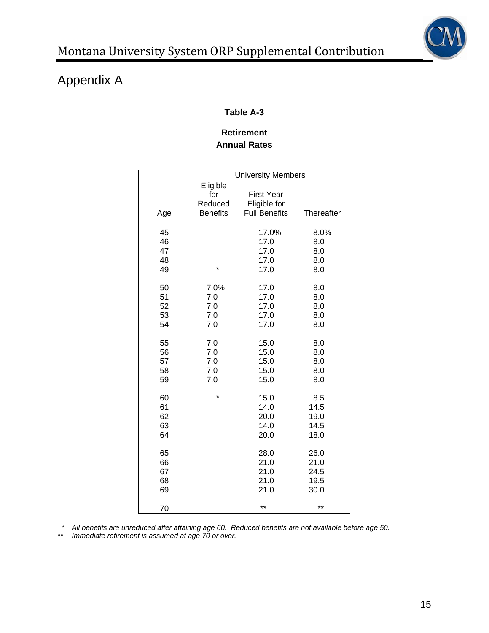

## **Table A-3**

## **Retirement Annual Rates**

|     | <b>University Members</b>                     |                                                           |            |
|-----|-----------------------------------------------|-----------------------------------------------------------|------------|
|     | Eligible<br>for<br>Reduced<br><b>Benefits</b> | <b>First Year</b><br>Eligible for<br><b>Full Benefits</b> | Thereafter |
| Age |                                               |                                                           |            |
| 45  | *                                             | 17.0%                                                     | 8.0%       |
| 46  |                                               | 17.0                                                      | 8.0        |
| 47  |                                               | 17.0                                                      | 8.0        |
| 48  |                                               | 17.0                                                      | 8.0        |
| 49  |                                               | 17.0                                                      | 8.0        |
| 50  | 7.0%                                          | 17.0                                                      | 8.0        |
| 51  | 7.0                                           | 17.0                                                      | 8.0        |
| 52  | 7.0                                           | 17.0                                                      | 8.0        |
| 53  | 7.0                                           | 17.0                                                      | 8.0        |
| 54  | 7.0                                           | 17.0                                                      | 8.0        |
| 55  | 7.0                                           | 15.0                                                      | 8.0        |
| 56  | 7.0                                           | 15.0                                                      | 8.0        |
| 57  | 7.0                                           | 15.0                                                      | 8.0        |
| 58  | 7.0                                           | 15.0                                                      | 8.0        |
| 59  | 7.0                                           | 15.0                                                      | 8.0        |
| 60  | $\star$                                       | 15.0                                                      | 8.5        |
| 61  |                                               | 14.0                                                      | 14.5       |
| 62  |                                               | 20.0                                                      | 19.0       |
| 63  |                                               | 14.0                                                      | 14.5       |
| 64  |                                               | 20.0                                                      | 18.0       |
| 65  |                                               | 28.0                                                      | 26.0       |
| 66  |                                               | 21.0                                                      | 21.0       |
| 67  |                                               | 21.0                                                      | 24.5       |
| 68  |                                               | 21.0                                                      | 19.5       |
| 69  |                                               | 21.0                                                      | 30.0       |
| 70  |                                               | $***$                                                     | $***$      |

 *\* All benefits are unreduced after attaining age 60. Reduced benefits are not available before age 50.* 

*\*\* Immediate retirement is assumed at age 70 or over.*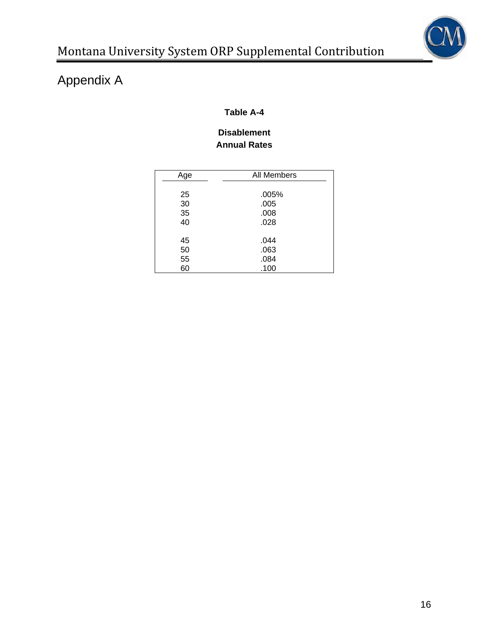

## **Table A-4**

## **Disablement Annual Rates**

| All Members<br>Age<br>25<br>.005%<br>30<br>.005<br>35<br>.008<br>40<br>.028<br>45<br>.044<br>50<br>.063 |    |      |
|---------------------------------------------------------------------------------------------------------|----|------|
|                                                                                                         |    |      |
|                                                                                                         |    |      |
|                                                                                                         |    |      |
|                                                                                                         |    |      |
|                                                                                                         |    |      |
|                                                                                                         |    |      |
|                                                                                                         |    |      |
|                                                                                                         |    |      |
|                                                                                                         |    |      |
|                                                                                                         | 55 | .084 |
| 60<br>.100                                                                                              |    |      |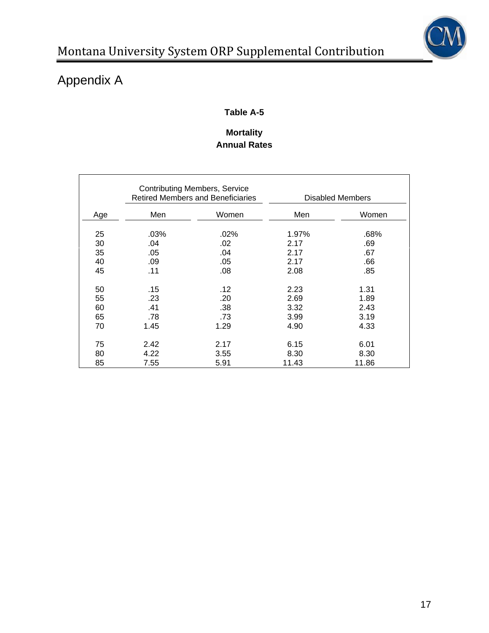

# **Table A-5**

# **Mortality Annual Rates**

|          | <b>Contributing Members, Service</b><br><b>Retired Members and Beneficiaries</b> |             | Disabled Members |             |  |
|----------|----------------------------------------------------------------------------------|-------------|------------------|-------------|--|
| Age      | Men                                                                              | Women       | Men              | Women       |  |
| 25<br>30 | .03%<br>.04                                                                      | .02%<br>.02 | 1.97%<br>2.17    | .68%<br>.69 |  |
| 35<br>40 | .05<br>.09                                                                       | .04<br>.05  | 2.17<br>2.17     | .67<br>.66  |  |
| 45       | .11                                                                              | .08         | 2.08             | .85         |  |
| 50       | .15                                                                              | .12         | 2.23             | 1.31        |  |
| 55       | .23                                                                              | .20         | 2.69             | 1.89        |  |
| 60       | .41                                                                              | .38         | 3.32             | 2.43        |  |
| 65       | .78                                                                              | .73         | 3.99             | 3.19        |  |
| 70       | 1.45                                                                             | 1.29        | 4.90             | 4.33        |  |
| 75       | 2.42                                                                             | 2.17        | 6.15             | 6.01        |  |
| 80       | 4.22                                                                             | 3.55        | 8.30             | 8.30        |  |
| 85       | 7.55                                                                             | 5.91        | 11.43            | 11.86       |  |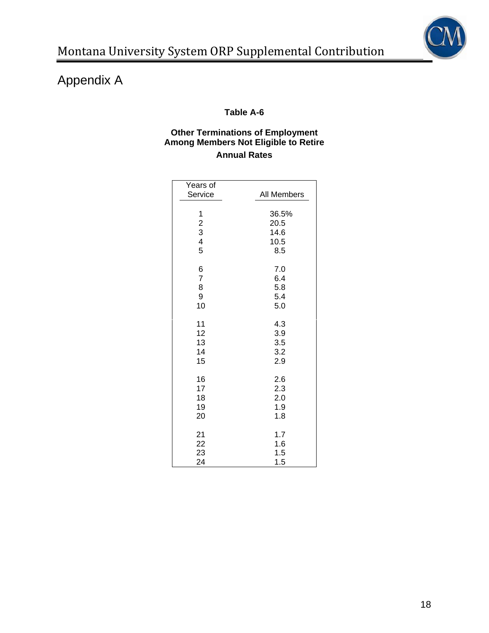

## **Table A-6**

## **Other Terminations of Employment Among Members Not Eligible to Retire Annual Rates**

| Years of<br>Service                                  | All Members                          |
|------------------------------------------------------|--------------------------------------|
| $\begin{array}{c} 1 \\ 2 \\ 3 \\ 4 \end{array}$<br>5 | 36.5%<br>20.5<br>14.6<br>10.5<br>8.5 |
| 6                                                    | 7.0                                  |
| $\overline{7}$                                       | 6.4                                  |
| 8                                                    | 5.8                                  |
| 9                                                    | 5.4                                  |
| 10                                                   | 5.0                                  |
| 11                                                   | 4.3                                  |
| 12                                                   | 3.9                                  |
| 13                                                   | 3.5                                  |
| 14                                                   | 3.2                                  |
| 15                                                   | 2.9                                  |
| 16                                                   | 2.6                                  |
| 17                                                   | 2.3                                  |
| 18                                                   | 2.0                                  |
| 19                                                   | 1.9                                  |
| 20                                                   | 1.8                                  |
| 21                                                   | 1.7                                  |
| 22                                                   | 1.6                                  |
| 23                                                   | 1.5                                  |
| 24                                                   | 1.5                                  |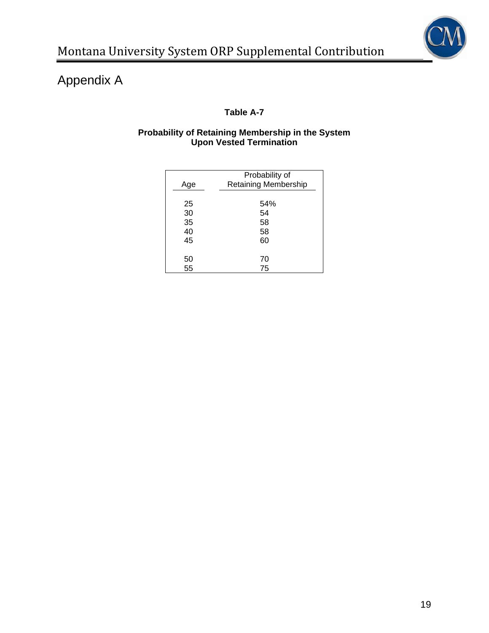

## **Table A-7**

### **Probability of Retaining Membership in the System Upon Vested Termination**

| Age      | Probability of<br><b>Retaining Membership</b> |
|----------|-----------------------------------------------|
| 25       | 54%<br>54                                     |
| 30<br>35 | 58                                            |
| 40       | 58                                            |
| 45       | 60                                            |
|          |                                               |
| 50       | 70                                            |
| 55       | 75                                            |
|          |                                               |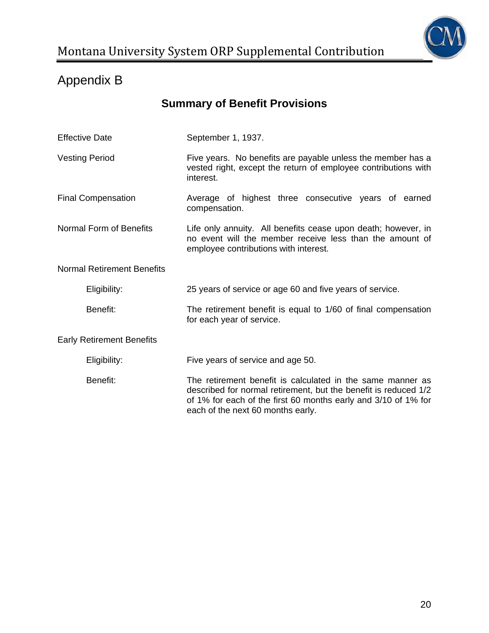

# Appendix B

# **Summary of Benefit Provisions**

| <b>Effective Date</b>                                                                                  | September 1, 1937.                                                                                                                                                                                                                   |  |  |  |  |
|--------------------------------------------------------------------------------------------------------|--------------------------------------------------------------------------------------------------------------------------------------------------------------------------------------------------------------------------------------|--|--|--|--|
| <b>Vesting Period</b>                                                                                  | Five years. No benefits are payable unless the member has a<br>vested right, except the return of employee contributions with<br>interest.                                                                                           |  |  |  |  |
| <b>Final Compensation</b>                                                                              | Average of highest three consecutive years of earned<br>compensation.                                                                                                                                                                |  |  |  |  |
| Normal Form of Benefits                                                                                | Life only annuity. All benefits cease upon death; however, in<br>no event will the member receive less than the amount of<br>employee contributions with interest.                                                                   |  |  |  |  |
| <b>Normal Retirement Benefits</b>                                                                      |                                                                                                                                                                                                                                      |  |  |  |  |
| Eligibility:                                                                                           | 25 years of service or age 60 and five years of service.                                                                                                                                                                             |  |  |  |  |
| Benefit:<br>The retirement benefit is equal to 1/60 of final compensation<br>for each year of service. |                                                                                                                                                                                                                                      |  |  |  |  |
| <b>Early Retirement Benefits</b>                                                                       |                                                                                                                                                                                                                                      |  |  |  |  |
| Eligibility:                                                                                           | Five years of service and age 50.                                                                                                                                                                                                    |  |  |  |  |
| Benefit:                                                                                               | The retirement benefit is calculated in the same manner as<br>described for normal retirement, but the benefit is reduced 1/2<br>of 1% for each of the first 60 months early and 3/10 of 1% for<br>each of the next 60 months early. |  |  |  |  |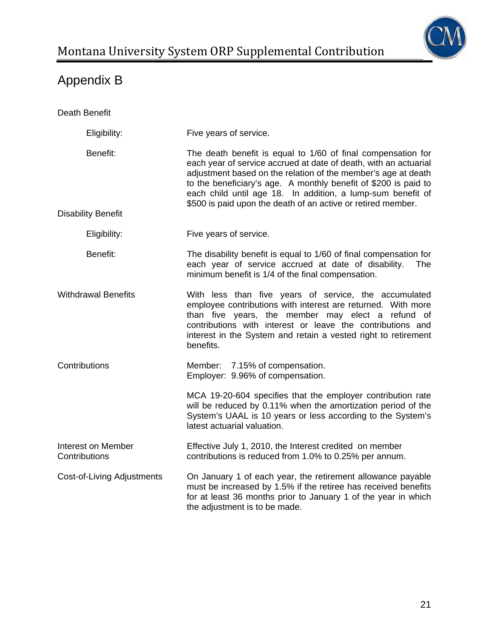

# Appendix B

| Death Benefit                       |                                                                                                                                                                                                                                                                                                                                                                                                     |  |
|-------------------------------------|-----------------------------------------------------------------------------------------------------------------------------------------------------------------------------------------------------------------------------------------------------------------------------------------------------------------------------------------------------------------------------------------------------|--|
| Eligibility:                        | Five years of service.                                                                                                                                                                                                                                                                                                                                                                              |  |
| Benefit:                            | The death benefit is equal to 1/60 of final compensation for<br>each year of service accrued at date of death, with an actuarial<br>adjustment based on the relation of the member's age at death<br>to the beneficiary's age. A monthly benefit of \$200 is paid to<br>each child until age 18. In addition, a lump-sum benefit of<br>\$500 is paid upon the death of an active or retired member. |  |
| <b>Disability Benefit</b>           |                                                                                                                                                                                                                                                                                                                                                                                                     |  |
| Eligibility:                        | Five years of service.                                                                                                                                                                                                                                                                                                                                                                              |  |
| Benefit:                            | The disability benefit is equal to 1/60 of final compensation for<br>each year of service accrued at date of disability.<br>The<br>minimum benefit is 1/4 of the final compensation.                                                                                                                                                                                                                |  |
| <b>Withdrawal Benefits</b>          | With less than five years of service, the accumulated<br>employee contributions with interest are returned. With more<br>than five years, the member may elect a refund of<br>contributions with interest or leave the contributions and<br>interest in the System and retain a vested right to retirement<br>benefits.                                                                             |  |
| Contributions                       | Member: 7.15% of compensation.<br>Employer: 9.96% of compensation.                                                                                                                                                                                                                                                                                                                                  |  |
|                                     | MCA 19-20-604 specifies that the employer contribution rate<br>will be reduced by 0.11% when the amortization period of the<br>System's UAAL is 10 years or less according to the System's<br>latest actuarial valuation.                                                                                                                                                                           |  |
| Interest on Member<br>Contributions | Effective July 1, 2010, the Interest credited on member<br>contributions is reduced from 1.0% to 0.25% per annum.                                                                                                                                                                                                                                                                                   |  |
| <b>Cost-of-Living Adjustments</b>   | On January 1 of each year, the retirement allowance payable<br>must be increased by 1.5% if the retiree has received benefits<br>for at least 36 months prior to January 1 of the year in which<br>the adjustment is to be made.                                                                                                                                                                    |  |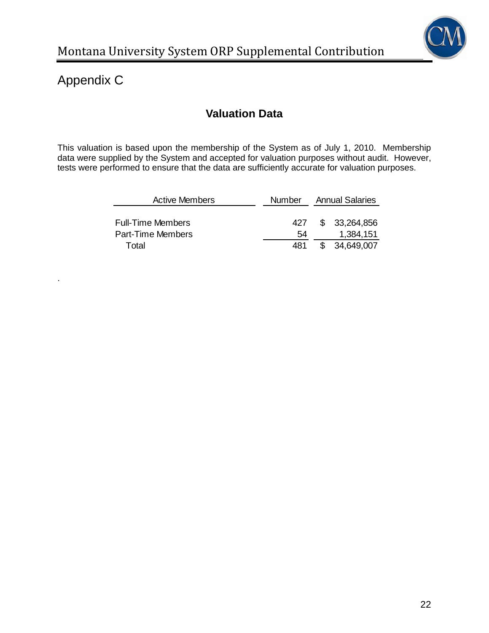

# Appendix C

.

# **Valuation Data**

This valuation is based upon the membership of the System as of July 1, 2010. Membership data were supplied by the System and accepted for valuation purposes without audit. However, tests were performed to ensure that the data are sufficiently accurate for valuation purposes.

| <b>Active Members</b>    | <b>Number</b> | <b>Annual Salaries</b> |               |  |
|--------------------------|---------------|------------------------|---------------|--|
|                          |               |                        |               |  |
| <b>Full-Time Members</b> | 427           |                        | \$ 33,264,856 |  |
| <b>Part-Time Members</b> | 54            |                        | 1,384,151     |  |
| Total                    | 481           |                        | \$ 34,649,007 |  |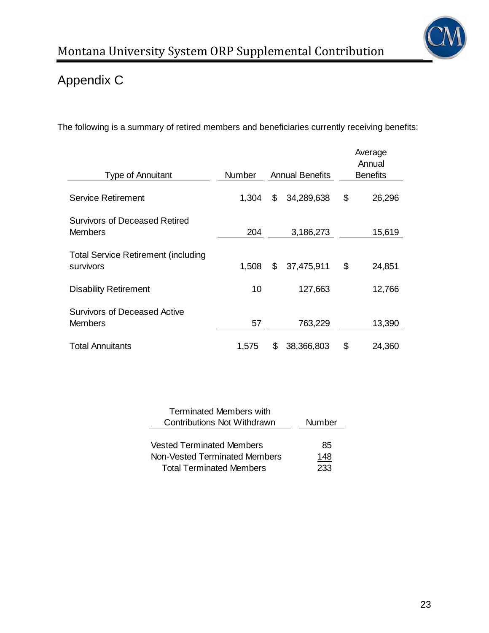

# Appendix C

The following is a summary of retired members and beneficiaries currently receiving benefits:

| <b>Type of Annuitant</b>                                | <b>Number</b> | <b>Annual Benefits</b> | Average<br>Annual<br><b>Benefits</b> |
|---------------------------------------------------------|---------------|------------------------|--------------------------------------|
| <b>Service Retirement</b>                               | 1,304         | \$<br>34,289,638       | \$<br>26,296                         |
| <b>Survivors of Deceased Retired</b><br><b>Members</b>  | 204           | 3,186,273              | 15,619                               |
| <b>Total Service Retirement (including</b><br>survivors | 1,508         | \$<br>37,475,911       | \$<br>24,851                         |
| <b>Disability Retirement</b>                            | 10            | 127,663                | 12,766                               |
| <b>Survivors of Deceased Active</b><br><b>Members</b>   | 57            | 763,229                | 13,390                               |
| <b>Total Annuitants</b>                                 | 1,575         | \$<br>38,366,803       | \$<br>24,360                         |

| <b>Terminated Members with</b>   |        |  |  |
|----------------------------------|--------|--|--|
| Contributions Not Withdrawn      | Number |  |  |
|                                  |        |  |  |
| <b>Vested Terminated Members</b> | 85     |  |  |
| Non-Vested Terminated Members    | 148    |  |  |
| <b>Total Terminated Members</b>  | 233    |  |  |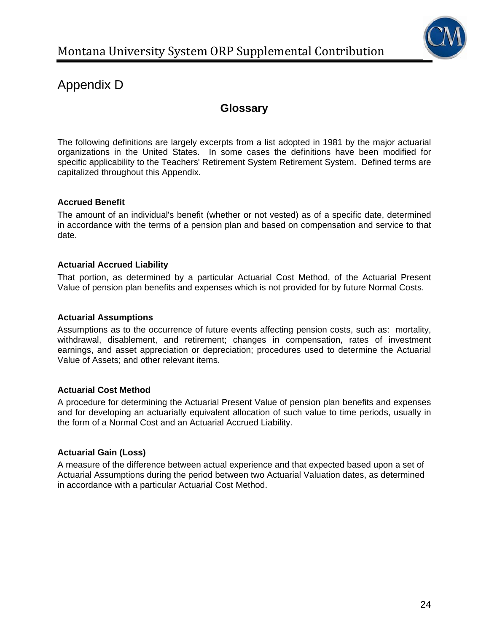

# Appendix D

# **Glossary**

The following definitions are largely excerpts from a list adopted in 1981 by the major actuarial organizations in the United States. In some cases the definitions have been modified for specific applicability to the Teachers' Retirement System Retirement System. Defined terms are capitalized throughout this Appendix.

## **Accrued Benefit**

The amount of an individual's benefit (whether or not vested) as of a specific date, determined in accordance with the terms of a pension plan and based on compensation and service to that date.

## **Actuarial Accrued Liability**

That portion, as determined by a particular Actuarial Cost Method, of the Actuarial Present Value of pension plan benefits and expenses which is not provided for by future Normal Costs.

### **Actuarial Assumptions**

Assumptions as to the occurrence of future events affecting pension costs, such as: mortality, withdrawal, disablement, and retirement; changes in compensation, rates of investment earnings, and asset appreciation or depreciation; procedures used to determine the Actuarial Value of Assets; and other relevant items.

## **Actuarial Cost Method**

A procedure for determining the Actuarial Present Value of pension plan benefits and expenses and for developing an actuarially equivalent allocation of such value to time periods, usually in the form of a Normal Cost and an Actuarial Accrued Liability.

## **Actuarial Gain (Loss)**

A measure of the difference between actual experience and that expected based upon a set of Actuarial Assumptions during the period between two Actuarial Valuation dates, as determined in accordance with a particular Actuarial Cost Method.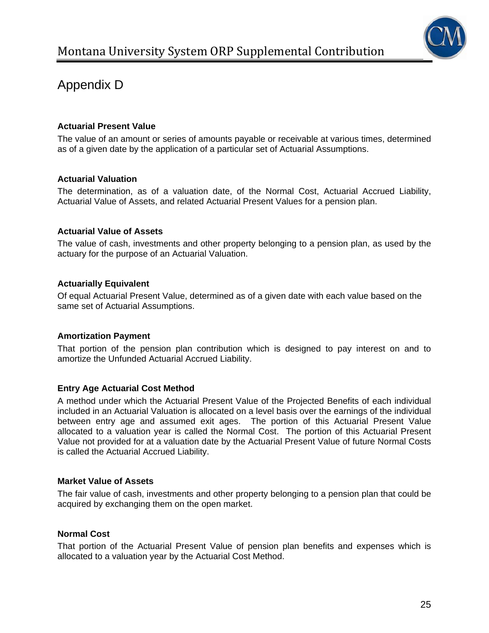

# Appendix D

### **Actuarial Present Value**

The value of an amount or series of amounts payable or receivable at various times, determined as of a given date by the application of a particular set of Actuarial Assumptions.

#### **Actuarial Valuation**

The determination, as of a valuation date, of the Normal Cost, Actuarial Accrued Liability, Actuarial Value of Assets, and related Actuarial Present Values for a pension plan.

#### **Actuarial Value of Assets**

The value of cash, investments and other property belonging to a pension plan, as used by the actuary for the purpose of an Actuarial Valuation.

#### **Actuarially Equivalent**

Of equal Actuarial Present Value, determined as of a given date with each value based on the same set of Actuarial Assumptions.

#### **Amortization Payment**

That portion of the pension plan contribution which is designed to pay interest on and to amortize the Unfunded Actuarial Accrued Liability.

## **Entry Age Actuarial Cost Method**

A method under which the Actuarial Present Value of the Projected Benefits of each individual included in an Actuarial Valuation is allocated on a level basis over the earnings of the individual between entry age and assumed exit ages. The portion of this Actuarial Present Value allocated to a valuation year is called the Normal Cost. The portion of this Actuarial Present Value not provided for at a valuation date by the Actuarial Present Value of future Normal Costs is called the Actuarial Accrued Liability.

#### **Market Value of Assets**

The fair value of cash, investments and other property belonging to a pension plan that could be acquired by exchanging them on the open market.

#### **Normal Cost**

That portion of the Actuarial Present Value of pension plan benefits and expenses which is allocated to a valuation year by the Actuarial Cost Method.